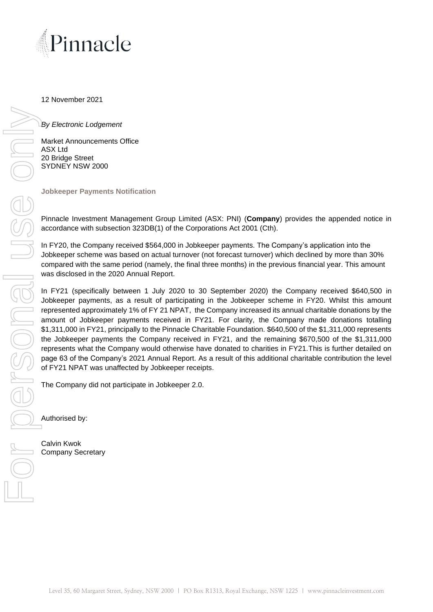

12 November 2021

*By Electronic Lodgement*

Market Announcements Office ASX Ltd 20 Bridge Street SYDNEY NSW 2000

**Jobkeeper Payments Notification**

Pinnacle Investment Management Group Limited (ASX: PNI) (**Company**) provides the appended notice in accordance with subsection 323DB(1) of the Corporations Act 2001 (Cth).

In FY20, the Company received \$564,000 in Jobkeeper payments. The Company's application into the Jobkeeper scheme was based on actual turnover (not forecast turnover) which declined by more than 30% compared with the same period (namely, the final three months) in the previous financial year. This amount was disclosed in the 2020 Annual Report.

In FY21 (specifically between 1 July 2020 to 30 September 2020) the Company received \$640,500 in Jobkeeper payments, as a result of participating in the Jobkeeper scheme in FY20. Whilst this amount represented approximately 1% of FY 21 NPAT, the Company increased its annual charitable donations by the amount of Jobkeeper payments received in FY21. For clarity, the Company made donations totalling \$1,311,000 in FY21, principally to the Pinnacle Charitable Foundation. \$640,500 of the \$1,311,000 represents the Jobkeeper payments the Company received in FY21, and the remaining \$670,500 of the \$1,311,000 represents what the Company would otherwise have donated to charities in FY21.This is further detailed on page 63 of the Company's 2021 Annual Report. As a result of this additional charitable contribution the level of FY21 NPAT was unaffected by Jobkeeper receipts.

The Company did not participate in Jobkeeper 2.0.

Authorised by:

Calvin Kwok